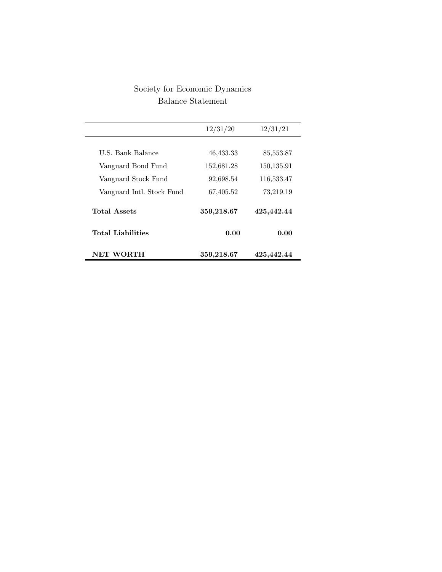## Society for Economic Dynamics Balance Statement

| NET WORTH                 | 359,218.67 | 425,442.44 |
|---------------------------|------------|------------|
| Total Liabilities         | 0.00       | 0.00       |
| <b>Total Assets</b>       | 359,218.67 | 425,442.44 |
| Vanguard Intl. Stock Fund | 67,405.52  | 73,219.19  |
| Vanguard Stock Fund       | 92,698.54  | 116,533.47 |
| Vanguard Bond Fund        | 152,681.28 | 150,135.91 |
| U.S. Bank Balance         | 46,433.33  | 85,553.87  |
|                           |            |            |
|                           | 12/31/20   | 12/31/21   |